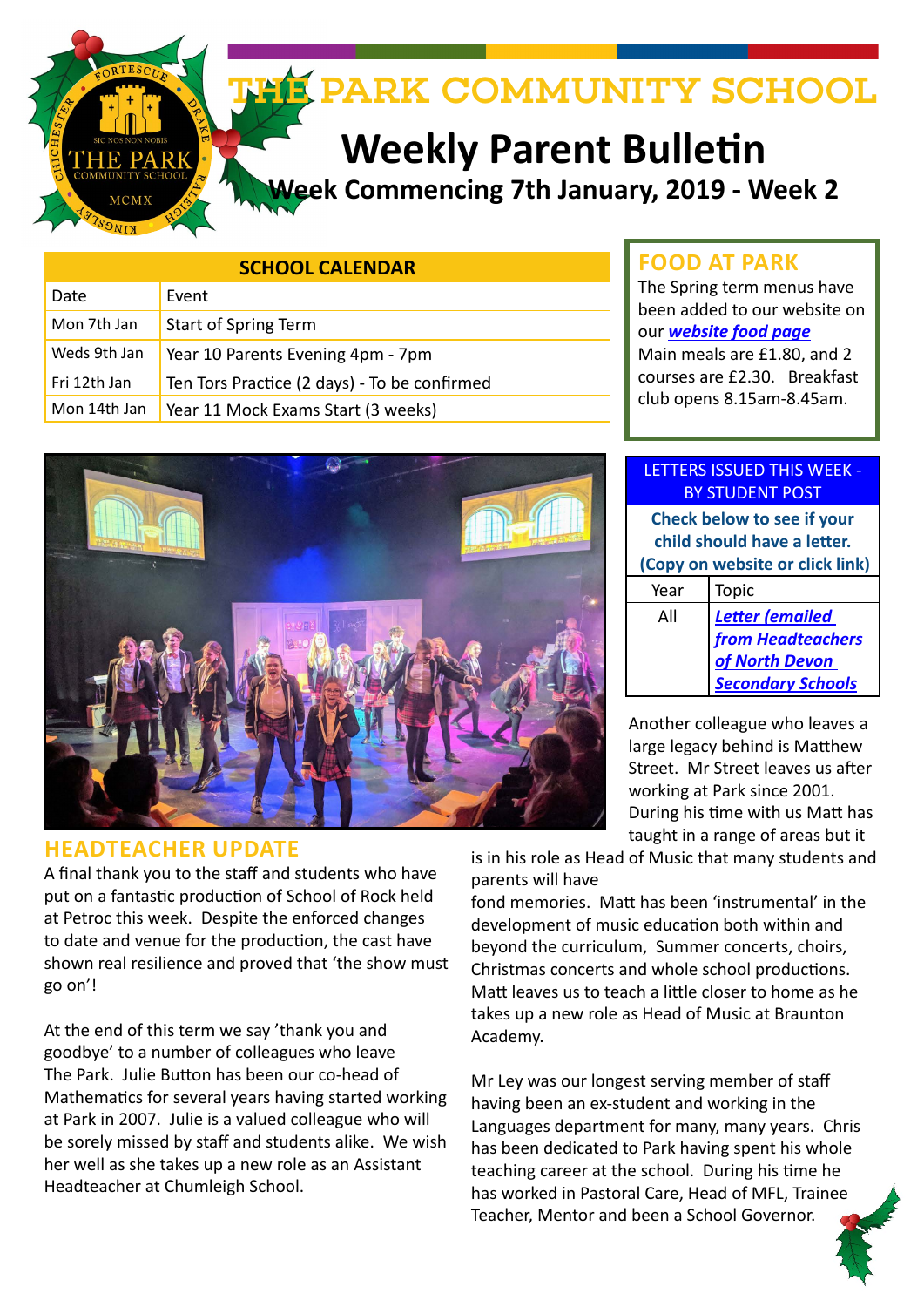

# **Weekly Parent Bulletin**

**Week Commencing 7th January, 2019 - Week 2**

| <b>SCHOOL CALENDAR</b> |                                              |
|------------------------|----------------------------------------------|
| Date                   | Event                                        |
| Mon 7th Jan            | Start of Spring Term                         |
| Weds 9th Jan           | Year 10 Parents Evening 4pm - 7pm            |
| Fri 12th Jan           | Ten Tors Practice (2 days) - To be confirmed |
| Mon 14th Jan           | Year 11 Mock Exams Start (3 weeks)           |



## **HEADTEACHER UPDATE**

A final thank you to the staff and students who have put on a fantastic production of School of Rock held at Petroc this week. Despite the enforced changes to date and venue for the production, the cast have shown real resilience and proved that 'the show must go on'!

At the end of this term we say 'thank you and goodbye' to a number of colleagues who leave The Park. Julie Button has been our co-head of Mathematics for several years having started working at Park in 2007. Julie is a valued colleague who will be sorely missed by staff and students alike. We wish her well as she takes up a new role as an Assistant Headteacher at Chumleigh School.

# **FOOD AT PARK**

The Spring term menus have been added to our website on our *[website food page](http://www.theparkschool.org.uk/food-park)* Main meals are £1.80, and 2 courses are £2.30. Breakfast club opens 8.15am-8.45am.

#### LETTERS ISSUED THIS WEEK - BY STUDENT POST

**Check below to see if your child should have a letter. (Copy on website or click link)** Year Topic All *Letter (emailed from Headteachers of North Devon Secondary Schools*

Another colleague who leaves a large legacy behind is Matthew Street. Mr Street leaves us after working at Park since 2001. During his time with us Matt has taught in a range of areas but it

is in his role as Head of Music that many students and parents will have

fond memories. Matt has been 'instrumental' in the development of music education both within and beyond the curriculum, Summer concerts, choirs, Christmas concerts and whole school productions. Matt leaves us to teach a little closer to home as he takes up a new role as Head of Music at Braunton Academy.

Mr Ley was our longest serving member of staff having been an ex-student and working in the Languages department for many, many years. Chris has been dedicated to Park having spent his whole teaching career at the school. During his time he has worked in Pastoral Care, Head of MFL, Trainee Teacher, Mentor and been a School Governor.

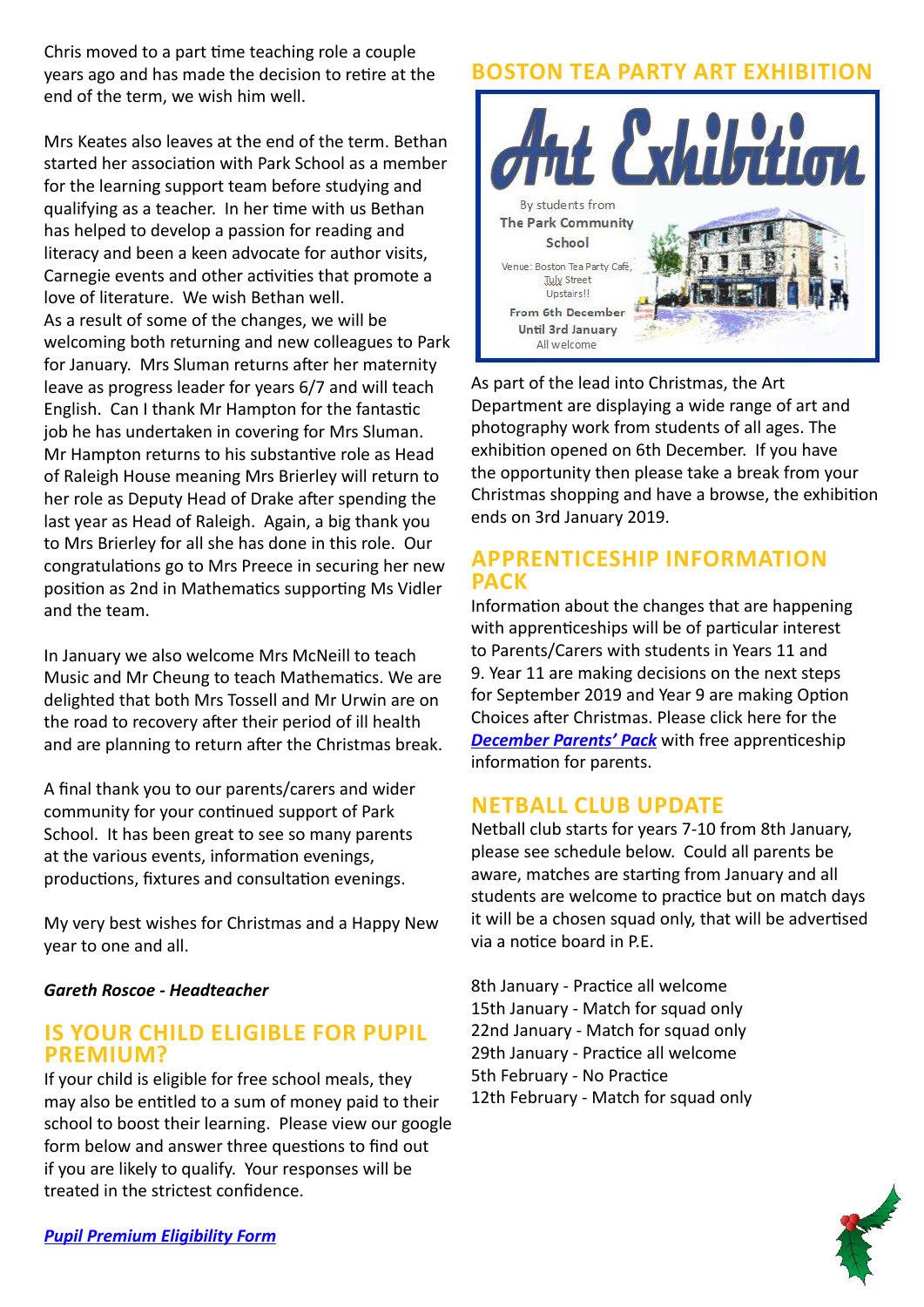Chris moved to a part time teaching role a couple years ago and has made the decision to retire at the end of the term, we wish him well.

Mrs Keates also leaves at the end of the term. Bethan started her association with Park School as a member for the learning support team before studying and qualifying as a teacher. In her time with us Bethan has helped to develop a passion for reading and literacy and been a keen advocate for author visits, Carnegie events and other activities that promote a love of literature. We wish Bethan well. As a result of some of the changes, we will be welcoming both returning and new colleagues to Park for January. Mrs Sluman returns after her maternity leave as progress leader for years 6/7 and will teach English. Can I thank Mr Hampton for the fantastic job he has undertaken in covering for Mrs Sluman. Mr Hampton returns to his substantive role as Head of Raleigh House meaning Mrs Brierley will return to her role as Deputy Head of Drake after spending the last year as Head of Raleigh. Again, a big thank you to Mrs Brierley for all she has done in this role. Our congratulations go to Mrs Preece in securing her new position as 2nd in Mathematics supporting Ms Vidler and the team.

In January we also welcome Mrs McNeill to teach Music and Mr Cheung to teach Mathematics. We are delighted that both Mrs Tossell and Mr Urwin are on the road to recovery after their period of ill health and are planning to return after the Christmas break.

A final thank you to our parents/carers and wider community for your continued support of Park School. It has been great to see so many parents at the various events, information evenings, productions, fixtures and consultation evenings.

My very best wishes for Christmas and a Happy New year to one and all.

#### *Gareth Roscoe - Headteacher*

#### **IS YOUR CHILD ELIGIBLE FOR PUPIL PREMIUM?**

If your child is eligible for free school meals, they may also be entitled to a sum of money paid to their school to boost their learning. Please view our google form below and answer three questions to find out if you are likely to qualify. Your responses will be treated in the strictest confidence.

# **BOSTON TEA PARTY ART EXHIBITION**



As part of the lead into Christmas, the Art Department are displaying a wide range of art and photography work from students of all ages. The exhibition opened on 6th December. If you have the opportunity then please take a break from your Christmas shopping and have a browse, the exhibition ends on 3rd January 2019.

## **APPRENTICESHIP INFORMATION PACK**

Information about the changes that are happening with apprenticeships will be of particular interest to Parents/Carers with students in Years 11 and 9. Year 11 are making decisions on the next steps for September 2019 and Year 9 are making Option Choices after Christmas. Please click here for the *[December Parents' Pack](https://amazingapprenticeships.com/app/uploads/2018/12/Parent-Pack-December.pdf)* with free apprenticeship information for parents.

# **NETBALL CLUB UPDATE**

Netball club starts for years 7-10 from 8th January, please see schedule below. Could all parents be aware, matches are starting from January and all students are welcome to practice but on match days it will be a chosen squad only, that will be advertised via a notice board in P.E.

8th January - Practice all welcome 15th January - Match for squad only 22nd January - Match for squad only 29th January - Practice all welcome 5th February - No Practice 12th February - Match for squad only

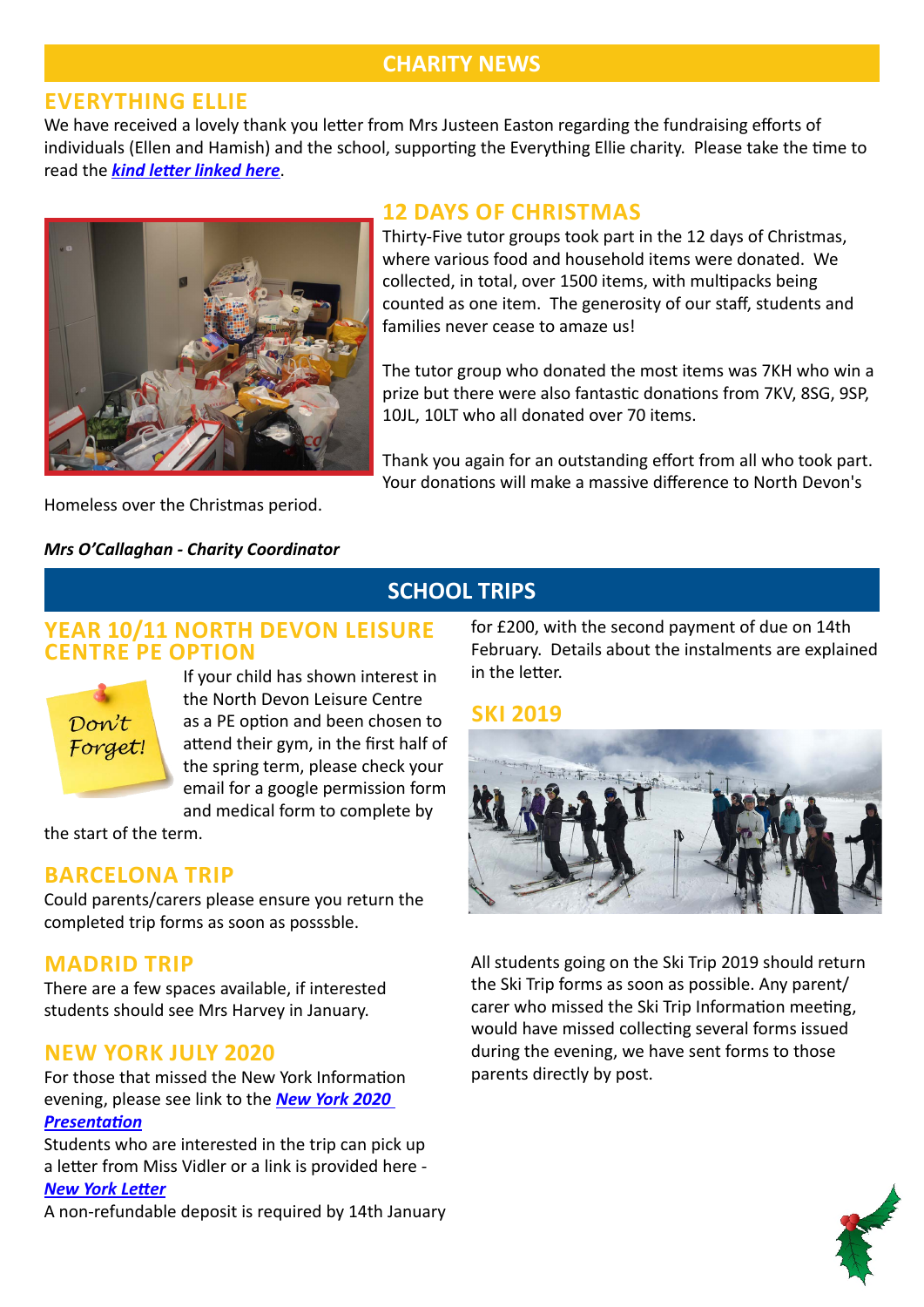# **CHARITY NEWS**

#### **EVERYTHING ELLIE**

We have received a lovely thank you letter from Mrs Justeen Easton regarding the fundraising efforts of individuals (Ellen and Hamish) and the school, supporting the Everything Ellie charity. Please take the time to read the *[kind letter linked here](http://www.theparkschool.org.uk/sites/default/files/Everything%20Ellie.pdf)*.



#### **12 DAYS OF CHRISTMAS**

Thirty-Five tutor groups took part in the 12 days of Christmas, where various food and household items were donated. We collected, in total, over 1500 items, with multipacks being counted as one item. The generosity of our staff, students and families never cease to amaze us!

The tutor group who donated the most items was 7KH who win a prize but there were also fantastic donations from 7KV, 8SG, 9SP, 10JL, 10LT who all donated over 70 items.

Thank you again for an outstanding effort from all who took part. Your donations will make a massive difference to North Devon's

Homeless over the Christmas period.

#### *Mrs O'Callaghan - Charity Coordinator*

## **YEAR 10/11 NORTH DEVON LEISURE CENTRE PE OPTION**



If your child has shown interest in the North Devon Leisure Centre as a PE option and been chosen to attend their gym, in the first half of the spring term, please check your email for a google permission form and medical form to complete by

the start of the term.

# **BARCELONA TRIP**

Could parents/carers please ensure you return the completed trip forms as soon as posssble.

## **MADRID TRIP**

There are a few spaces available, if interested students should see Mrs Harvey in January.

## **NEW YORK JULY 2020**

For those that missed the New York Information evening, please see link to the *[New York 2020](http://www.theparkschool.org.uk/sites/default/files/NewYorkMeetingPowerPoint-July2020.pdf)  [Presentation](http://www.theparkschool.org.uk/sites/default/files/NewYorkMeetingPowerPoint-July2020.pdf)*

Students who are interested in the trip can pick up a letter from Miss Vidler or a link is provided here - *[New York Letter](http://www.theparkschool.org.uk/sites/default/files/New-YorkPaymentPlanItinerary2020.pdf)*

A non-refundable deposit is required by 14th January

for £200, with the second payment of due on 14th February. Details about the instalments are explained in the letter.

## **SKI 2019**

**SCHOOL TRIPS**



All students going on the Ski Trip 2019 should return the Ski Trip forms as soon as possible. Any parent/ carer who missed the Ski Trip Information meeting, would have missed collecting several forms issued during the evening, we have sent forms to those parents directly by post.